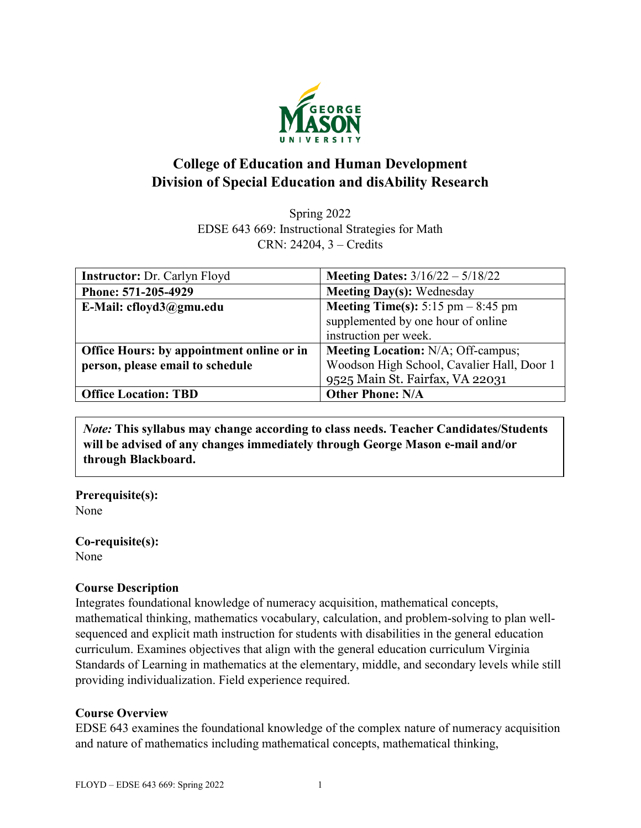

# **College of Education and Human Development Division of Special Education and disAbility Research**

Spring 2022 EDSE 643 669: Instructional Strategies for Math CRN: 24204, 3 – Credits

| <b>Instructor: Dr. Carlyn Floyd</b>       | <b>Meeting Dates:</b> $3/16/22 - 5/18/22$   |  |
|-------------------------------------------|---------------------------------------------|--|
| Phone: 571-205-4929                       | <b>Meeting Day(s): Wednesday</b>            |  |
| E-Mail: cfloyd3@gmu.edu                   | <b>Meeting Time(s):</b> 5:15 pm $-$ 8:45 pm |  |
|                                           | supplemented by one hour of online          |  |
|                                           | instruction per week.                       |  |
| Office Hours: by appointment online or in | <b>Meeting Location: N/A; Off-campus;</b>   |  |
| person, please email to schedule          | Woodson High School, Cavalier Hall, Door 1  |  |
|                                           | 9525 Main St. Fairfax, VA 22031             |  |
| <b>Office Location: TBD</b>               | <b>Other Phone: N/A</b>                     |  |

*Note:* **This syllabus may change according to class needs. Teacher Candidates/Students will be advised of any changes immediately through George Mason e-mail and/or through Blackboard.**

**Prerequisite(s):** None

**Co-requisite(s):** None

#### **Course Description**

Integrates foundational knowledge of numeracy acquisition, mathematical concepts, mathematical thinking, mathematics vocabulary, calculation, and problem-solving to plan wellsequenced and explicit math instruction for students with disabilities in the general education curriculum. Examines objectives that align with the general education curriculum Virginia Standards of Learning in mathematics at the elementary, middle, and secondary levels while still providing individualization. Field experience required.

#### **Course Overview**

EDSE 643 examines the foundational knowledge of the complex nature of numeracy acquisition and nature of mathematics including mathematical concepts, mathematical thinking,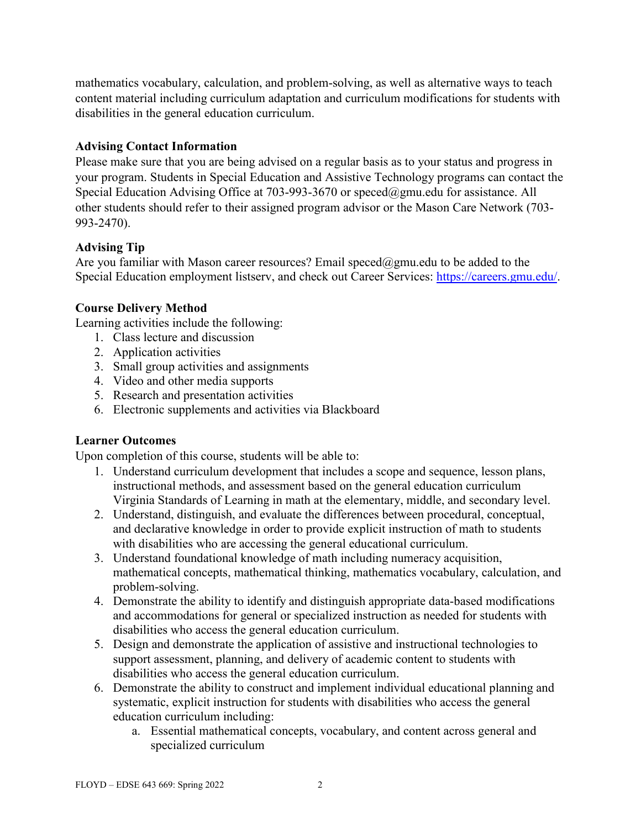mathematics vocabulary, calculation, and problem-solving, as well as alternative ways to teach content material including curriculum adaptation and curriculum modifications for students with disabilities in the general education curriculum.

## **Advising Contact Information**

Please make sure that you are being advised on a regular basis as to your status and progress in your program. Students in Special Education and Assistive Technology programs can contact the Special Education Advising Office at 703-993-3670 or [speced@gmu.edu](mailto:speced@gmu.edu) for assistance. All other students should refer to their assigned program advisor or the Mason Care Network (703- 993-2470).

## **Advising Tip**

Are you familiar with Mason career resources? Email speced@gmu.edu to be added to the Special Education employment listserv, and check out Career Services: [https://careers.gmu.edu/.](https://careers.gmu.edu/)

## **Course Delivery Method**

Learning activities include the following:

- 1. Class lecture and discussion
- 2. Application activities
- 3. Small group activities and assignments
- 4. Video and other media supports
- 5. Research and presentation activities
- 6. Electronic supplements and activities via Blackboard

### **Learner Outcomes**

Upon completion of this course, students will be able to:

- 1. Understand curriculum development that includes a scope and sequence, lesson plans, instructional methods, and assessment based on the general education curriculum Virginia Standards of Learning in math at the elementary, middle, and secondary level.
- 2. Understand, distinguish, and evaluate the differences between procedural, conceptual, and declarative knowledge in order to provide explicit instruction of math to students with disabilities who are accessing the general educational curriculum.
- 3. Understand foundational knowledge of math including numeracy acquisition, mathematical concepts, mathematical thinking, mathematics vocabulary, calculation, and problem-solving.
- 4. Demonstrate the ability to identify and distinguish appropriate data-based modifications and accommodations for general or specialized instruction as needed for students with disabilities who access the general education curriculum.
- 5. Design and demonstrate the application of assistive and instructional technologies to support assessment, planning, and delivery of academic content to students with disabilities who access the general education curriculum.
- 6. Demonstrate the ability to construct and implement individual educational planning and systematic, explicit instruction for students with disabilities who access the general education curriculum including:
	- a. Essential mathematical concepts, vocabulary, and content across general and specialized curriculum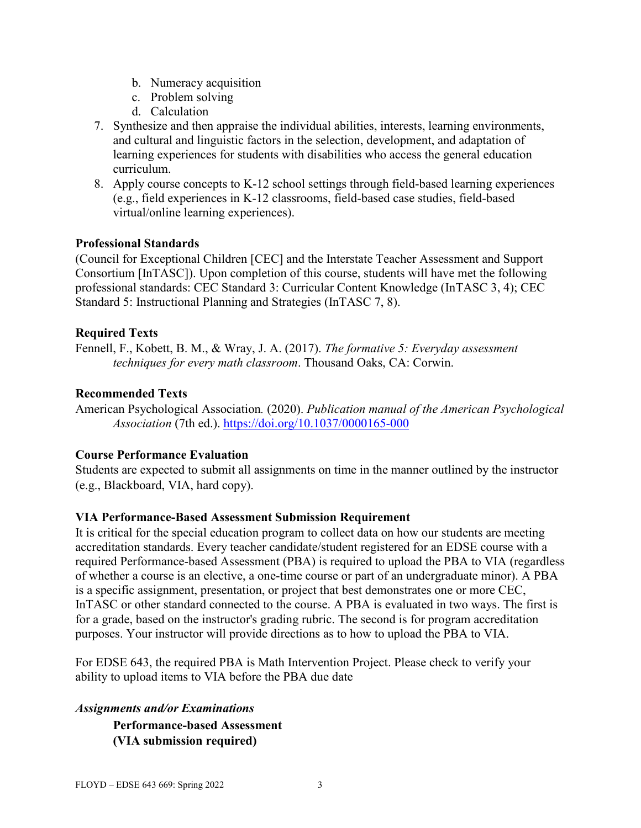- b. Numeracy acquisition
- c. Problem solving
- d. Calculation
- 7. Synthesize and then appraise the individual abilities, interests, learning environments, and cultural and linguistic factors in the selection, development, and adaptation of learning experiences for students with disabilities who access the general education curriculum.
- 8. Apply course concepts to K-12 school settings through field-based learning experiences (e.g., field experiences in K-12 classrooms, field-based case studies, field-based virtual/online learning experiences).

#### **Professional Standards**

(Council for Exceptional Children [CEC] and the Interstate Teacher Assessment and Support Consortium [InTASC]). Upon completion of this course, students will have met the following professional standards: CEC Standard 3: Curricular Content Knowledge (InTASC 3, 4); CEC Standard 5: Instructional Planning and Strategies (InTASC 7, 8).

### **Required Texts**

Fennell, F., Kobett, B. M., & Wray, J. A. (2017). *The formative 5: Everyday assessment techniques for every math classroom*. Thousand Oaks, CA: Corwin.

#### **Recommended Texts**

American Psychological Association*.* (2020). *Publication manual of the American Psychological Association* (7th ed.). <https://doi.org/10.1037/0000165-000>

### **Course Performance Evaluation**

Students are expected to submit all assignments on time in the manner outlined by the instructor (e.g., Blackboard, VIA, hard copy).

### **VIA Performance-Based Assessment Submission Requirement**

It is critical for the special education program to collect data on how our students are meeting accreditation standards. Every teacher candidate/student registered for an EDSE course with a required Performance-based Assessment (PBA) is required to upload the PBA to VIA (regardless of whether a course is an elective, a one-time course or part of an undergraduate minor). A PBA is a specific assignment, presentation, or project that best demonstrates one or more CEC, InTASC or other standard connected to the course. A PBA is evaluated in two ways. The first is for a grade, based on the instructor's grading rubric. The second is for program accreditation purposes. Your instructor will provide directions as to how to upload the PBA to VIA.

For EDSE 643, the required PBA is Math Intervention Project. Please check to verify your ability to upload items to VIA before the PBA due date

*Assignments and/or Examinations*

**Performance-based Assessment (VIA submission required)**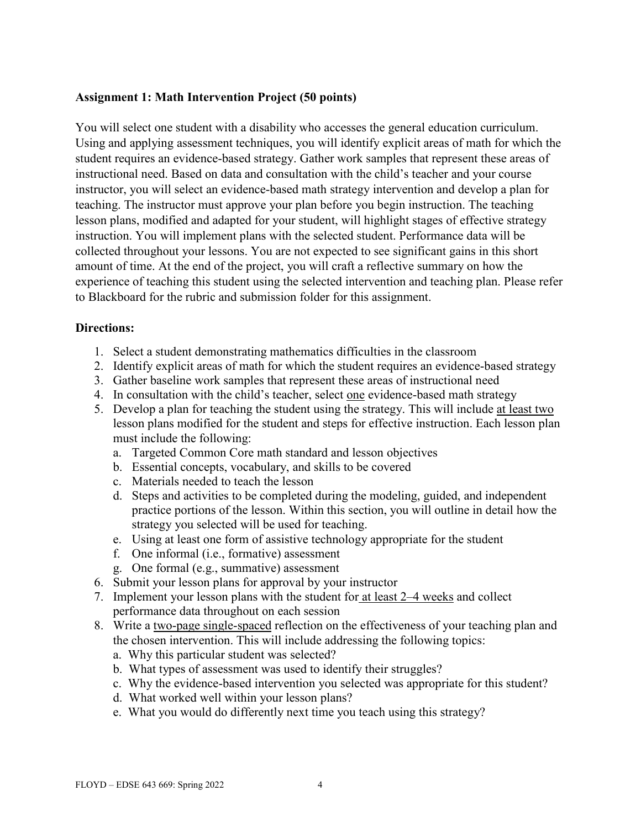#### **Assignment 1: Math Intervention Project (50 points)**

You will select one student with a disability who accesses the general education curriculum. Using and applying assessment techniques, you will identify explicit areas of math for which the student requires an evidence-based strategy. Gather work samples that represent these areas of instructional need. Based on data and consultation with the child's teacher and your course instructor, you will select an evidence-based math strategy intervention and develop a plan for teaching. The instructor must approve your plan before you begin instruction. The teaching lesson plans, modified and adapted for your student, will highlight stages of effective strategy instruction. You will implement plans with the selected student. Performance data will be collected throughout your lessons. You are not expected to see significant gains in this short amount of time. At the end of the project, you will craft a reflective summary on how the experience of teaching this student using the selected intervention and teaching plan. Please refer to Blackboard for the rubric and submission folder for this assignment.

#### **Directions:**

- 1. Select a student demonstrating mathematics difficulties in the classroom
- 2. Identify explicit areas of math for which the student requires an evidence-based strategy
- 3. Gather baseline work samples that represent these areas of instructional need
- 4. In consultation with the child's teacher, select one evidence-based math strategy
- 5. Develop a plan for teaching the student using the strategy. This will include at least two lesson plans modified for the student and steps for effective instruction. Each lesson plan must include the following:
	- a. Targeted Common Core math standard and lesson objectives
	- b. Essential concepts, vocabulary, and skills to be covered
	- c. Materials needed to teach the lesson
	- d. Steps and activities to be completed during the modeling, guided, and independent practice portions of the lesson. Within this section, you will outline in detail how the strategy you selected will be used for teaching.
	- e. Using at least one form of assistive technology appropriate for the student
	- f. One informal (i.e., formative) assessment
	- g. One formal (e.g., summative) assessment
- 6. Submit your lesson plans for approval by your instructor
- 7. Implement your lesson plans with the student for at least 2–4 weeks and collect performance data throughout on each session
- 8. Write a two-page single-spaced reflection on the effectiveness of your teaching plan and the chosen intervention. This will include addressing the following topics:
	- a. Why this particular student was selected?
	- b. What types of assessment was used to identify their struggles?
	- c. Why the evidence-based intervention you selected was appropriate for this student?
	- d. What worked well within your lesson plans?
	- e. What you would do differently next time you teach using this strategy?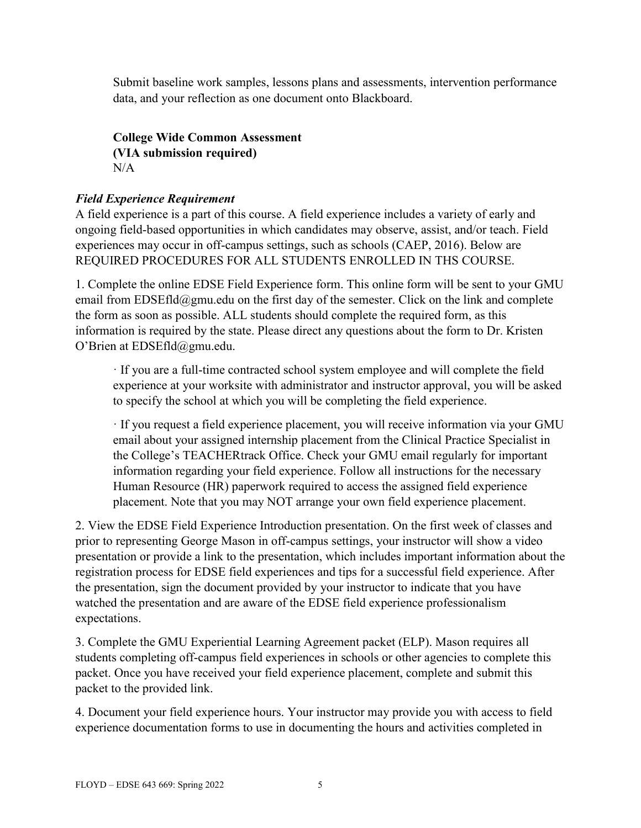Submit baseline work samples, lessons plans and assessments, intervention performance data, and your reflection as one document onto Blackboard.

**College Wide Common Assessment (VIA submission required)**  $N/A$ 

## *Field Experience Requirement*

A field experience is a part of this course. A field experience includes a variety of early and ongoing field-based opportunities in which candidates may observe, assist, and/or teach. Field experiences may occur in off-campus settings, such as schools (CAEP, 2016). Below are REQUIRED PROCEDURES FOR ALL STUDENTS ENROLLED IN THS COURSE.

1. Complete the online EDSE Field Experience form. This online form will be sent to your GMU email from EDSEfld@gmu.edu on the first day of the semester. Click on the link and complete the form as soon as possible. ALL students should complete the required form, as this information is required by the state. Please direct any questions about the form to Dr. Kristen O'Brien at EDSEfld@gmu.edu.

· If you are a full-time contracted school system employee and will complete the field experience at your worksite with administrator and instructor approval, you will be asked to specify the school at which you will be completing the field experience.

· If you request a field experience placement, you will receive information via your GMU email about your assigned internship placement from the Clinical Practice Specialist in the College's TEACHERtrack Office. Check your GMU email regularly for important information regarding your field experience. Follow all instructions for the necessary Human Resource (HR) paperwork required to access the assigned field experience placement. Note that you may NOT arrange your own field experience placement.

2. View the EDSE Field Experience Introduction presentation. On the first week of classes and prior to representing George Mason in off-campus settings, your instructor will show a video presentation or provide a link to the presentation, which includes important information about the registration process for EDSE field experiences and tips for a successful field experience. After the presentation, sign the document provided by your instructor to indicate that you have watched the presentation and are aware of the EDSE field experience professionalism expectations.

3. Complete the GMU Experiential Learning Agreement packet (ELP). Mason requires all students completing off-campus field experiences in schools or other agencies to complete this packet. Once you have received your field experience placement, complete and submit this packet to the provided link.

4. Document your field experience hours. Your instructor may provide you with access to field experience documentation forms to use in documenting the hours and activities completed in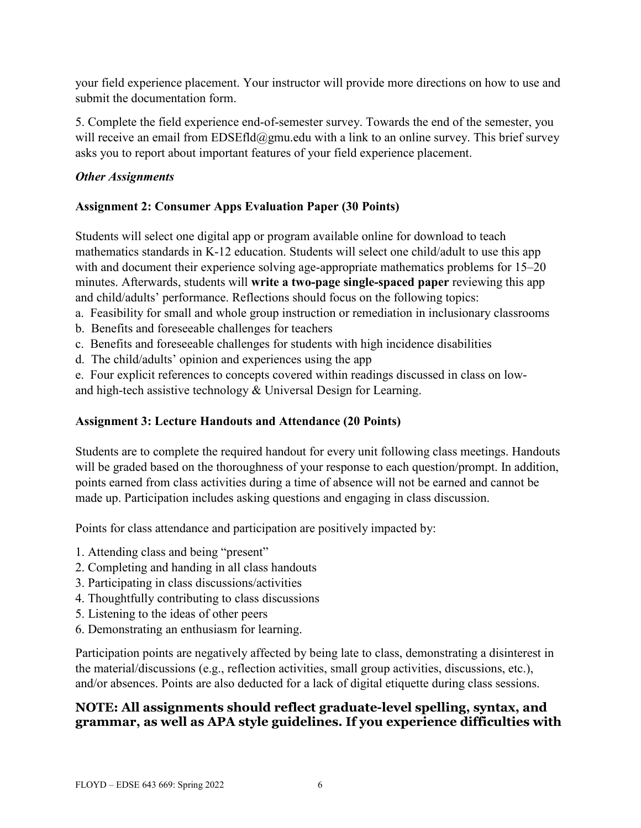your field experience placement. Your instructor will provide more directions on how to use and submit the documentation form.

5. Complete the field experience end-of-semester survey. Towards the end of the semester, you will receive an email from EDSEfld@gmu.edu with a link to an online survey. This brief survey asks you to report about important features of your field experience placement.

### *Other Assignments*

## **Assignment 2: Consumer Apps Evaluation Paper (30 Points)**

Students will select one digital app or program available online for download to teach mathematics standards in K-12 education. Students will select one child/adult to use this app with and document their experience solving age-appropriate mathematics problems for 15–20 minutes. Afterwards, students will **write a two-page single-spaced paper** reviewing this app and child/adults' performance. Reflections should focus on the following topics:

- a. Feasibility for small and whole group instruction or remediation in inclusionary classrooms
- b. Benefits and foreseeable challenges for teachers
- c. Benefits and foreseeable challenges for students with high incidence disabilities
- d. The child/adults' opinion and experiences using the app

e. Four explicit references to concepts covered within readings discussed in class on lowand high-tech assistive technology & Universal Design for Learning.

## **Assignment 3: Lecture Handouts and Attendance (20 Points)**

Students are to complete the required handout for every unit following class meetings. Handouts will be graded based on the thoroughness of your response to each question/prompt. In addition, points earned from class activities during a time of absence will not be earned and cannot be made up. Participation includes asking questions and engaging in class discussion.

Points for class attendance and participation are positively impacted by:

- 1. Attending class and being "present"
- 2. Completing and handing in all class handouts
- 3. Participating in class discussions/activities
- 4. Thoughtfully contributing to class discussions
- 5. Listening to the ideas of other peers
- 6. Demonstrating an enthusiasm for learning.

Participation points are negatively affected by being late to class, demonstrating a disinterest in the material/discussions (e.g., reflection activities, small group activities, discussions, etc.), and/or absences. Points are also deducted for a lack of digital etiquette during class sessions.

## **NOTE: All assignments should reflect graduate-level spelling, syntax, and grammar, as well as APA style guidelines. If you experience difficulties with**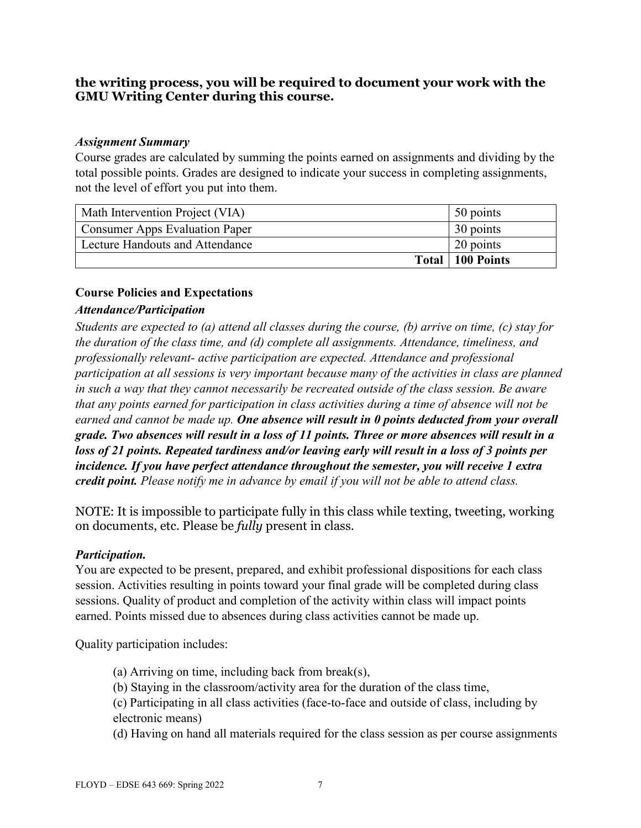## **the writing process, you will be required to document your work with the GMU Writing Center during this course.**

#### *Assignment Summary*

Course grades are calculated by summing the points earned on assignments and dividing by the total possible points. Grades are designed to indicate your success in completing assignments, not the level of effort you put into them.

| Math Intervention Project (VIA)       | 50 points          |
|---------------------------------------|--------------------|
| <b>Consumer Apps Evaluation Paper</b> | 30 points          |
| Lecture Handouts and Attendance       | 20 points          |
|                                       | Total   100 Points |

### **Course Policies and Expectations**

### *Attendance/Participation*

*Students are expected to (a) attend all classes during the course, (b) arrive on time, (c) stay for the duration of the class time, and (d) complete all assignments. Attendance, timeliness, and professionally relevant- active participation are expected. Attendance and professional participation at all sessions is very important because many of the activities in class are planned in such a way that they cannot necessarily be recreated outside of the class session. Be aware that any points earned for participation in class activities during a time of absence will not be earned and cannot be made up. One absence will result in 0 points deducted from your overall grade. Two absences will result in a loss of 11 points. Three or more absences will result in a loss of 21 points. Repeated tardiness and/or leaving early will result in a loss of 3 points per incidence. If you have perfect attendance throughout the semester, you will receive 1 extra credit point. Please notify me in advance by email if you will not be able to attend class.*

NOTE: It is impossible to participate fully in this class while texting, tweeting, working on documents, etc. Please be *fully* present in class.

### *Participation.*

You are expected to be present, prepared, and exhibit professional dispositions for each class session. Activities resulting in points toward your final grade will be completed during class sessions. Quality of product and completion of the activity within class will impact points earned. Points missed due to absences during class activities cannot be made up.

Quality participation includes:

- (a) Arriving on time, including back from break(s),
- (b) Staying in the classroom/activity area for the duration of the class time,
- (c) Participating in all class activities (face-to-face and outside of class, including by electronic means)
- (d) Having on hand all materials required for the class session as per course assignments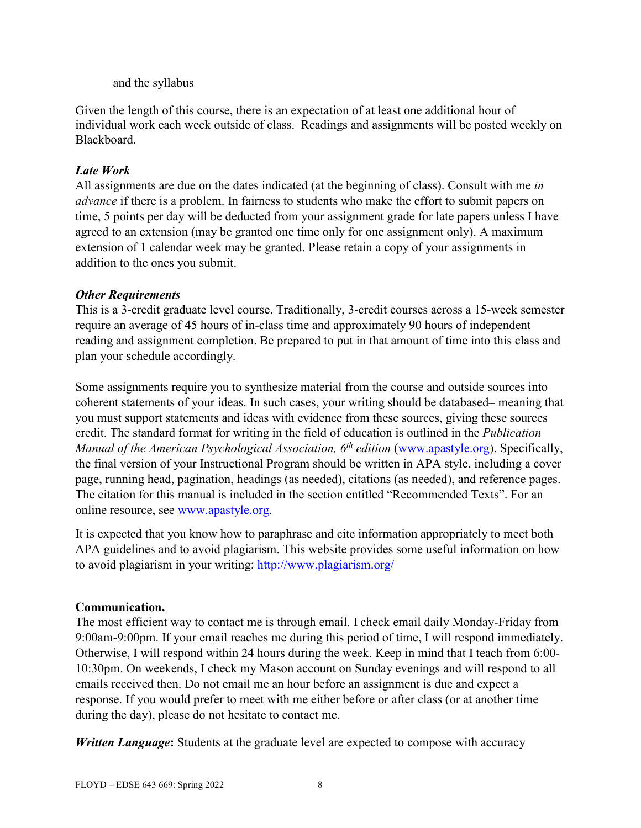#### and the syllabus

Given the length of this course, there is an expectation of at least one additional hour of individual work each week outside of class. Readings and assignments will be posted weekly on Blackboard.

## *Late Work*

All assignments are due on the dates indicated (at the beginning of class). Consult with me *in advance* if there is a problem. In fairness to students who make the effort to submit papers on time, 5 points per day will be deducted from your assignment grade for late papers unless I have agreed to an extension (may be granted one time only for one assignment only). A maximum extension of 1 calendar week may be granted. Please retain a copy of your assignments in addition to the ones you submit.

### *Other Requirements*

This is a 3-credit graduate level course. Traditionally, 3-credit courses across a 15-week semester require an average of 45 hours of in-class time and approximately 90 hours of independent reading and assignment completion. Be prepared to put in that amount of time into this class and plan your schedule accordingly.

Some assignments require you to synthesize material from the course and outside sources into coherent statements of your ideas. In such cases, your writing should be databased– meaning that you must support statements and ideas with evidence from these sources, giving these sources credit. The standard format for writing in the field of education is outlined in the *Publication Manual of the American Psychological Association, 6th edition* [\(www.apastyle.org\)](http://www.apastyle.org/). Specifically, the final version of your Instructional Program should be written in APA style, including a cover page, running head, pagination, headings (as needed), citations (as needed), and reference pages. The citation for this manual is included in the section entitled "Recommended Texts". For an online resource, see [www.apastyle.org.](http://www.apastyle.org/)

It is expected that you know how to paraphrase and cite information appropriately to meet both APA guidelines and to avoid plagiarism. This website provides some useful information on how to avoid plagiarism in your writing: http://www.plagiarism.org/

## **Communication.**

The most efficient way to contact me is through email. I check email daily Monday-Friday from 9:00am-9:00pm. If your email reaches me during this period of time, I will respond immediately. Otherwise, I will respond within 24 hours during the week. Keep in mind that I teach from 6:00- 10:30pm. On weekends, I check my Mason account on Sunday evenings and will respond to all emails received then. Do not email me an hour before an assignment is due and expect a response. If you would prefer to meet with me either before or after class (or at another time during the day), please do not hesitate to contact me.

*Written Language***:** Students at the graduate level are expected to compose with accuracy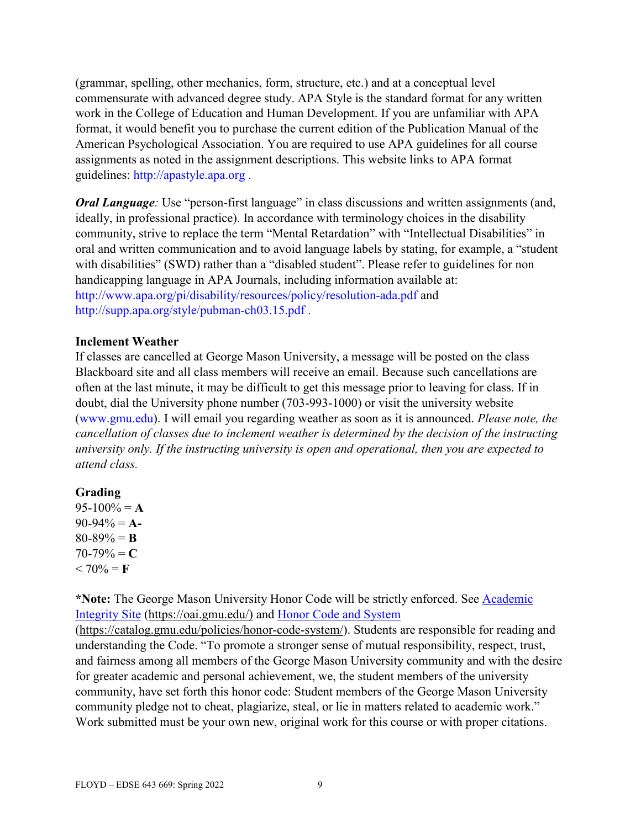(grammar, spelling, other mechanics, form, structure, etc.) and at a conceptual level commensurate with advanced degree study. APA Style is the standard format for any written work in the College of Education and Human Development. If you are unfamiliar with APA format, it would benefit you to purchase the current edition of the Publication Manual of the American Psychological Association. You are required to use APA guidelines for all course assignments as noted in the assignment descriptions. This website links to APA format guidelines: http://apastyle.apa.org .

*Oral Language*: Use "person-first language" in class discussions and written assignments (and, ideally, in professional practice). In accordance with terminology choices in the disability community, strive to replace the term "Mental Retardation" with "Intellectual Disabilities" in oral and written communication and to avoid language labels by stating, for example, a "student with disabilities" (SWD) rather than a "disabled student". Please refer to guidelines for non handicapping language in APA Journals, including information available at: http://www.apa.org/pi/disability/resources/policy/resolution-ada.pdf and http://supp.apa.org/style/pubman-ch03.15.pdf .

#### **Inclement Weather**

If classes are cancelled at George Mason University, a message will be posted on the class Blackboard site and all class members will receive an email. Because such cancellations are often at the last minute, it may be difficult to get this message prior to leaving for class. If in doubt, dial the University phone number (703-993-1000) or visit the university website (www.gmu.edu). I will email you regarding weather as soon as it is announced. *Please note, the cancellation of classes due to inclement weather is determined by the decision of the instructing university only. If the instructing university is open and operational, then you are expected to attend class.*

### **Grading**

 $95-100% = A$ 90-94% = **A-** $80-89\% = B$  $70-79\% = C$  $< 70\% = F$ 

**\*Note:** The George Mason University Honor Code will be strictly enforced. See [Academic](https://oai.gmu.edu/)  [Integrity Site \(https://oai.gmu.edu/\)](https://oai.gmu.edu/) and [Honor Code and System](https://catalog.gmu.edu/policies/honor-code-system/)

[\(https://catalog.gmu.edu/policies/honor-code-system/\)](https://catalog.gmu.edu/policies/honor-code-system/). Students are responsible for reading and understanding the Code. "To promote a stronger sense of mutual responsibility, respect, trust, and fairness among all members of the George Mason University community and with the desire for greater academic and personal achievement, we, the student members of the university community, have set forth this honor code: Student members of the George Mason University community pledge not to cheat, plagiarize, steal, or lie in matters related to academic work." Work submitted must be your own new, original work for this course or with proper citations.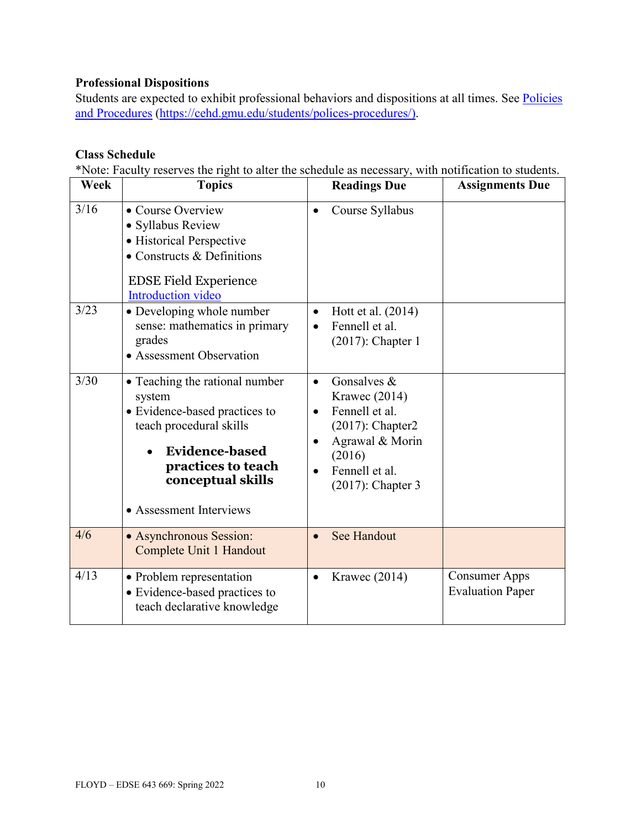## **Professional Dispositions**

Students are expected to exhibit professional behaviors and dispositions at all times. See Policies [and Procedures \(https://cehd.gmu.edu/students/polices-procedures/\)](https://cehd.gmu.edu/students/polices-procedures/).

#### **Class Schedule**

\*Note: Faculty reserves the right to alter the schedule as necessary, with notification to students.

| Week | <b>Topics</b>                                                                                                                                                                                       |           | <b>Readings Due</b>                                                                                                                         | <b>Assignments Due</b>                          |
|------|-----------------------------------------------------------------------------------------------------------------------------------------------------------------------------------------------------|-----------|---------------------------------------------------------------------------------------------------------------------------------------------|-------------------------------------------------|
| 3/16 | • Course Overview<br>• Syllabus Review<br>• Historical Perspective<br>• Constructs $&$ Definitions<br><b>EDSE Field Experience</b><br><b>Introduction video</b>                                     | $\bullet$ | Course Syllabus                                                                                                                             |                                                 |
| 3/23 | • Developing whole number<br>sense: mathematics in primary<br>grades<br>• Assessment Observation                                                                                                    | $\bullet$ | Hott et al. (2014)<br>Fennell et al.<br>$(2017)$ : Chapter 1                                                                                |                                                 |
| 3/30 | • Teaching the rational number<br>system<br>· Evidence-based practices to<br>teach procedural skills<br><b>Evidence-based</b><br>practices to teach<br>conceptual skills<br>• Assessment Interviews | $\bullet$ | Gonsalves $&$<br>Krawec (2014)<br>Fennell et al.<br>$(2017)$ : Chapter2<br>Agrawal & Morin<br>(2016)<br>Fennell et al.<br>(2017): Chapter 3 |                                                 |
| 4/6  | • Asynchronous Session:<br>Complete Unit 1 Handout                                                                                                                                                  |           | <b>See Handout</b>                                                                                                                          |                                                 |
| 4/13 | • Problem representation<br>• Evidence-based practices to<br>teach declarative knowledge                                                                                                            | $\bullet$ | Krawec $(2014)$                                                                                                                             | <b>Consumer Apps</b><br><b>Evaluation Paper</b> |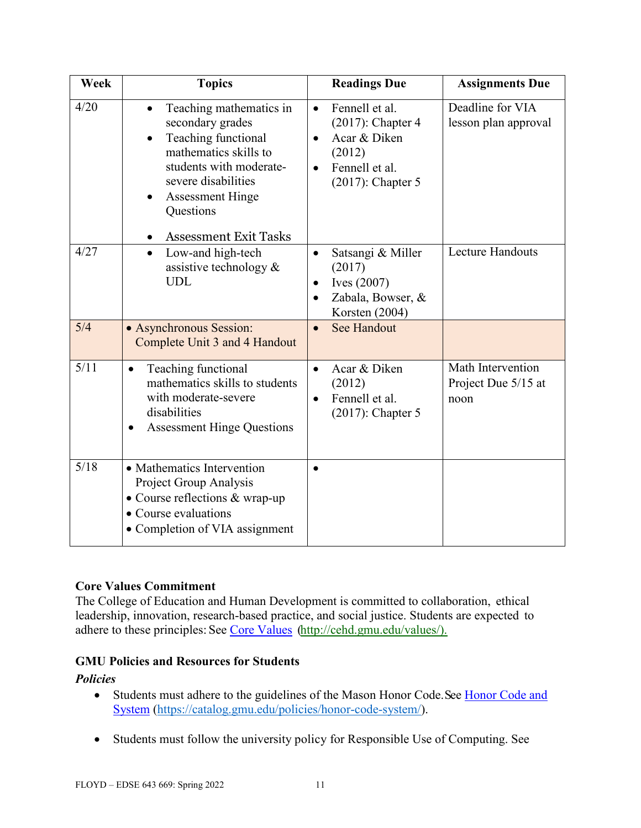| Week        | <b>Topics</b>                                                                                                                                                                                      | <b>Readings Due</b>                                                                                                                  | <b>Assignments Due</b>                           |
|-------------|----------------------------------------------------------------------------------------------------------------------------------------------------------------------------------------------------|--------------------------------------------------------------------------------------------------------------------------------------|--------------------------------------------------|
| 4/20        | Teaching mathematics in<br>$\bullet$<br>secondary grades<br>Teaching functional<br>mathematics skills to<br>students with moderate-<br>severe disabilities<br><b>Assessment Hinge</b><br>Questions | Fennell et al.<br>$\bullet$<br>$(2017)$ : Chapter 4<br>Acar & Diken<br>$\bullet$<br>(2012)<br>Fennell et al.<br>$(2017)$ : Chapter 5 | Deadline for VIA<br>lesson plan approval         |
| 4/27<br>5/4 | <b>Assessment Exit Tasks</b><br>Low-and high-tech<br>$\bullet$<br>assistive technology $\&$<br><b>UDL</b>                                                                                          | Satsangi & Miller<br>$\bullet$<br>(2017)<br>Ives (2007)<br>$\bullet$<br>Zabala, Bowser, &<br>Korsten (2004)                          | <b>Lecture Handouts</b>                          |
|             | • Asynchronous Session:<br>Complete Unit 3 and 4 Handout                                                                                                                                           | <b>See Handout</b><br>$\bullet$                                                                                                      |                                                  |
| 5/11        | Teaching functional<br>$\bullet$<br>mathematics skills to students<br>with moderate-severe<br>disabilities<br><b>Assessment Hinge Questions</b>                                                    | Acar & Diken<br>$\bullet$<br>(2012)<br>Fennell et al.<br>$\bullet$<br>$(2017)$ : Chapter 5                                           | Math Intervention<br>Project Due 5/15 at<br>noon |
| 5/18        | • Mathematics Intervention<br>Project Group Analysis<br>• Course reflections & wrap-up<br>• Course evaluations<br>• Completion of VIA assignment                                                   |                                                                                                                                      |                                                  |

### **Core Values Commitment**

The College of Education and Human Development is committed to collaboration, ethical leadership, innovation, research-based practice, and social justice. Students are expected to adhere to these principles: See [Core Values \(http://cehd.gmu.edu/values/\)](http://cehd.gmu.edu/values/).

### **GMU Policies and Resources for Students**

### *Policies*

- Students must adhere to the guidelines of the Mason Honor Code. See Honor Code and [System \(https://catalog.gmu.edu/policies/honor-code-system/\)](https://catalog.gmu.edu/policies/honor-code-system/).
- Students must follow the university policy for Responsible Use of Computing. See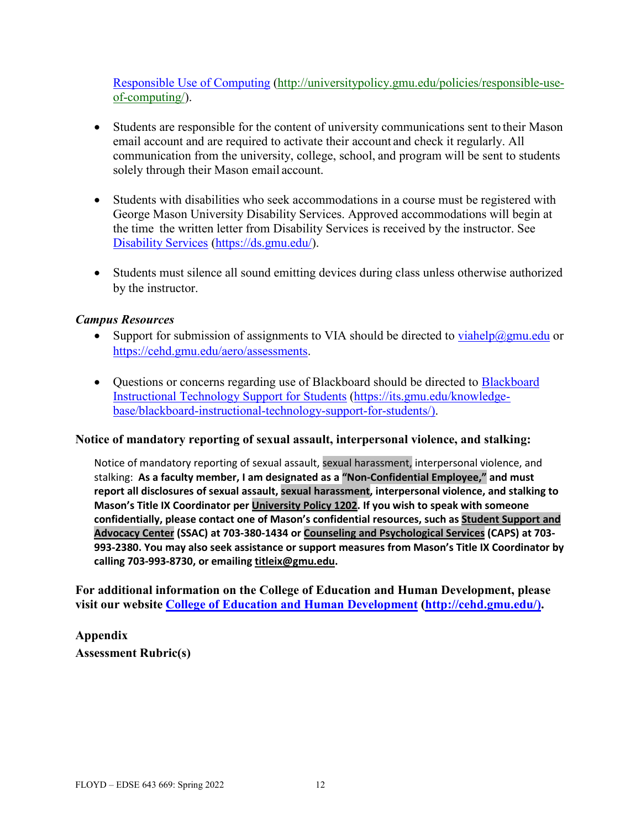[Responsible Use of Computing \(http://universitypolicy.gmu.edu/policies/responsible-use](http://universitypolicy.gmu.edu/policies/responsible-use-of-computing/)[of-computing/\)](http://universitypolicy.gmu.edu/policies/responsible-use-of-computing/).

- Students are responsible for the content of university communications sent to their Mason email account and are required to activate their account and check it regularly. All communication from the university, college, school, and program will be sent to students solely through their Mason email account.
- Students with disabilities who seek accommodations in a course must be registered with George Mason University Disability Services. Approved accommodations will begin at the time the written letter from Disability Services is received by the instructor. See [Disability Services \(https://ds.gmu.edu/\)](https://ds.gmu.edu/).
- Students must silence all sound emitting devices during class unless otherwise authorized by the instructor.

#### *Campus Resources*

- Support for submission of assignments to VIA should be directed to [viahelp@gmu.edu](mailto:viahelp@gmu.edu) or [https://cehd.gmu.edu/aero/assessments.](https://cehd.gmu.edu/aero/assessments)
- Questions or concerns regarding use of [Blackboard](https://its.gmu.edu/knowledge-base/blackboard-instructional-technology-support-for-students/) should be directed to Blackboard [Instructional Technology Support for Students \(https://its.gmu.edu/knowledge](https://its.gmu.edu/knowledge-base/blackboard-instructional-technology-support-for-students/)[base/blackboard-instructional-technology-support-for-students/\)](https://its.gmu.edu/knowledge-base/blackboard-instructional-technology-support-for-students/).

#### **Notice of mandatory reporting of sexual assault, interpersonal violence, and stalking:**

Notice of mandatory reporting of sexual assault, sexual harassment, interpersonal violence, and stalking: **As a faculty member, I am designated as a "Non-Confidential Employee," and must report all disclosures of sexual assault, sexual harassment, interpersonal violence, and stalking to Mason's Title IX Coordinator per [University](https://universitypolicy.gmu.edu/policies/sexual-harassment-policy/) Policy 1202. If you wish to speak with someone confidentially, please contact one of Mason's confidential resources, such as Student [Support](https://ssac.gmu.edu/) and [Advocacy](https://ssac.gmu.edu/) Center (SSAC) at 703-380-1434 or Counseling and [Psychological](https://caps.gmu.edu/) Services (CAPS) at 703- 993-2380. You may also seek assistance or support measures from Mason's Title IX Coordinator by calling 703-993-8730, or emailing [titleix@gmu.edu.](mailto:titleix@gmu.edu)**

**For additional information on the College of Education and Human Development, please visit our website [College of Education and Human Development](http://cehd.gmu.edu/) [\(http://cehd.gmu.edu/\)](https://cehd.gmu.edu/).** 

# **Appendix Assessment Rubric(s)**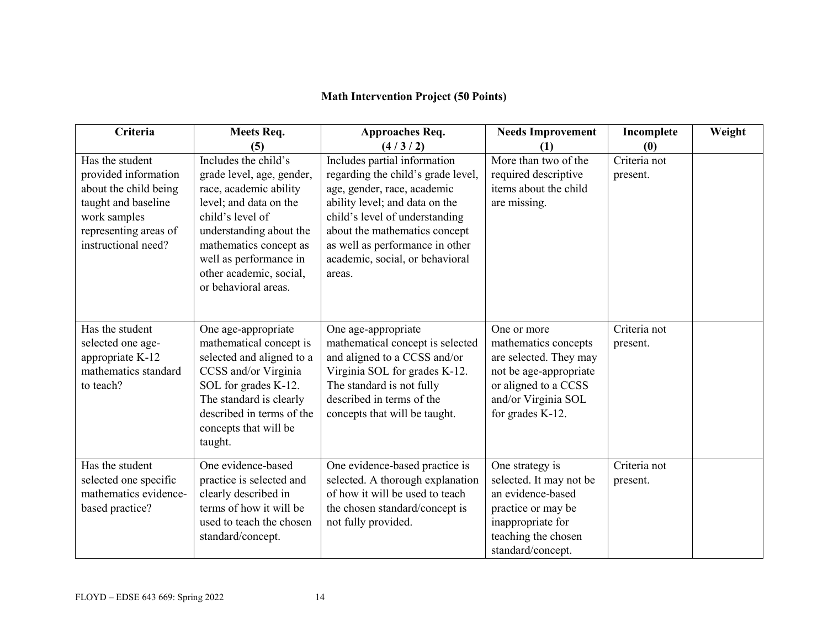## **Math Intervention Project (50 Points)**

| Criteria                                                                                                                                                | Meets Req.                                                                                                                                                                                                                                                  | <b>Approaches Req.</b>                                                                                                                                                                                                                                                                 | <b>Needs Improvement</b>                                                                                                                                   | Incomplete               | Weight |
|---------------------------------------------------------------------------------------------------------------------------------------------------------|-------------------------------------------------------------------------------------------------------------------------------------------------------------------------------------------------------------------------------------------------------------|----------------------------------------------------------------------------------------------------------------------------------------------------------------------------------------------------------------------------------------------------------------------------------------|------------------------------------------------------------------------------------------------------------------------------------------------------------|--------------------------|--------|
|                                                                                                                                                         | (5)                                                                                                                                                                                                                                                         | (4/3/2)                                                                                                                                                                                                                                                                                | (1)                                                                                                                                                        | (0)                      |        |
| Has the student<br>provided information<br>about the child being<br>taught and baseline<br>work samples<br>representing areas of<br>instructional need? | Includes the child's<br>grade level, age, gender,<br>race, academic ability<br>level; and data on the<br>child's level of<br>understanding about the<br>mathematics concept as<br>well as performance in<br>other academic, social,<br>or behavioral areas. | Includes partial information<br>regarding the child's grade level,<br>age, gender, race, academic<br>ability level; and data on the<br>child's level of understanding<br>about the mathematics concept<br>as well as performance in other<br>academic, social, or behavioral<br>areas. | More than two of the<br>required descriptive<br>items about the child<br>are missing.                                                                      | Criteria not<br>present. |        |
| Has the student<br>selected one age-<br>appropriate K-12<br>mathematics standard<br>to teach?                                                           | One age-appropriate<br>mathematical concept is<br>selected and aligned to a<br>CCSS and/or Virginia<br>SOL for grades K-12.<br>The standard is clearly<br>described in terms of the<br>concepts that will be<br>taught.                                     | One age-appropriate<br>mathematical concept is selected<br>and aligned to a CCSS and/or<br>Virginia SOL for grades K-12.<br>The standard is not fully<br>described in terms of the<br>concepts that will be taught.                                                                    | One or more<br>mathematics concepts<br>are selected. They may<br>not be age-appropriate<br>or aligned to a CCSS<br>and/or Virginia SOL<br>for grades K-12. | Criteria not<br>present. |        |
| Has the student<br>selected one specific<br>mathematics evidence-<br>based practice?                                                                    | One evidence-based<br>practice is selected and<br>clearly described in<br>terms of how it will be<br>used to teach the chosen<br>standard/concept.                                                                                                          | One evidence-based practice is<br>selected. A thorough explanation<br>of how it will be used to teach<br>the chosen standard/concept is<br>not fully provided.                                                                                                                         | One strategy is<br>selected. It may not be<br>an evidence-based<br>practice or may be<br>inappropriate for<br>teaching the chosen<br>standard/concept.     | Criteria not<br>present. |        |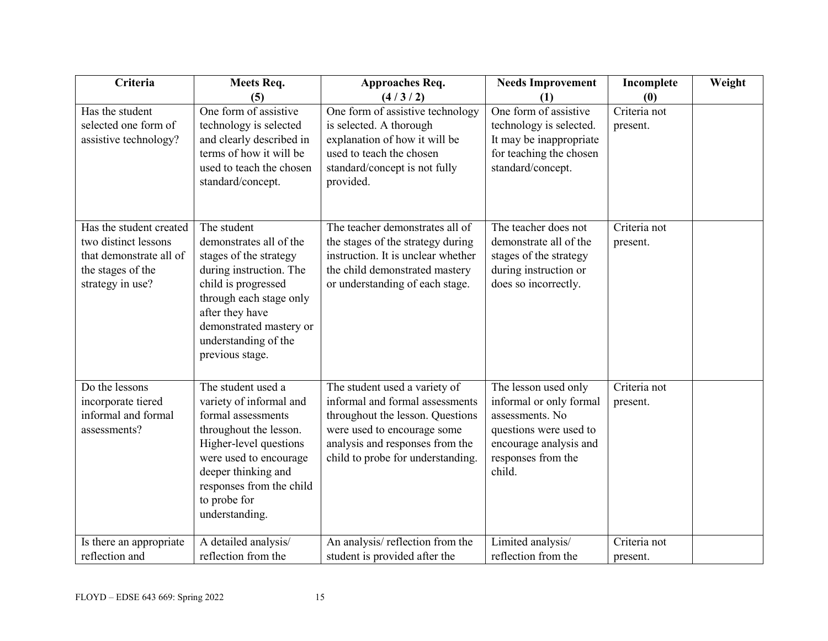| Criteria                                                                                                            | Meets Req.                                                                                                                                                                                                                             | <b>Approaches Req.</b>                                                                                                                                                                                      | <b>Needs Improvement</b>                                                                                                                               | Incomplete               | Weight |
|---------------------------------------------------------------------------------------------------------------------|----------------------------------------------------------------------------------------------------------------------------------------------------------------------------------------------------------------------------------------|-------------------------------------------------------------------------------------------------------------------------------------------------------------------------------------------------------------|--------------------------------------------------------------------------------------------------------------------------------------------------------|--------------------------|--------|
|                                                                                                                     | (5)                                                                                                                                                                                                                                    | (4/3/2)                                                                                                                                                                                                     | (1)                                                                                                                                                    | (0)                      |        |
| Has the student<br>selected one form of<br>assistive technology?                                                    | One form of assistive<br>technology is selected<br>and clearly described in<br>terms of how it will be<br>used to teach the chosen<br>standard/concept.                                                                                | One form of assistive technology<br>is selected. A thorough<br>explanation of how it will be<br>used to teach the chosen<br>standard/concept is not fully<br>provided.                                      | One form of assistive<br>technology is selected.<br>It may be inappropriate<br>for teaching the chosen<br>standard/concept.                            | Criteria not<br>present. |        |
| Has the student created<br>two distinct lessons<br>that demonstrate all of<br>the stages of the<br>strategy in use? | The student<br>demonstrates all of the<br>stages of the strategy<br>during instruction. The<br>child is progressed<br>through each stage only<br>after they have<br>demonstrated mastery or<br>understanding of the<br>previous stage. | The teacher demonstrates all of<br>the stages of the strategy during<br>instruction. It is unclear whether<br>the child demonstrated mastery<br>or understanding of each stage.                             | The teacher does not<br>demonstrate all of the<br>stages of the strategy<br>during instruction or<br>does so incorrectly.                              | Criteria not<br>present. |        |
| Do the lessons<br>incorporate tiered<br>informal and formal<br>assessments?                                         | The student used a<br>variety of informal and<br>formal assessments<br>throughout the lesson.<br>Higher-level questions<br>were used to encourage<br>deeper thinking and<br>responses from the child<br>to probe for<br>understanding. | The student used a variety of<br>informal and formal assessments<br>throughout the lesson. Questions<br>were used to encourage some<br>analysis and responses from the<br>child to probe for understanding. | The lesson used only<br>informal or only formal<br>assessments. No<br>questions were used to<br>encourage analysis and<br>responses from the<br>child. | Criteria not<br>present. |        |
| Is there an appropriate<br>reflection and                                                                           | A detailed analysis/<br>reflection from the                                                                                                                                                                                            | An analysis/reflection from the<br>student is provided after the                                                                                                                                            | Limited analysis/<br>reflection from the                                                                                                               | Criteria not<br>present. |        |